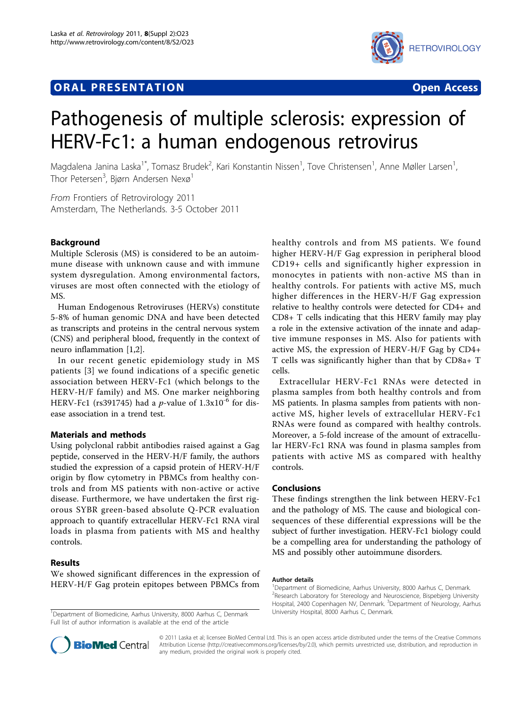# **ORAL PRESENTATION OPEN ACCESS**





# Pathogenesis of multiple sclerosis: expression of HERV-Fc1: a human endogenous retrovirus

Magdalena Janina Laska<sup>1\*</sup>, Tomasz Brudek<sup>2</sup>, Kari Konstantin Nissen<sup>1</sup>, Tove Christensen<sup>1</sup>, Anne Møller Larsen<sup>1</sup> , Thor Petersen<sup>3</sup>, Bjørn Andersen Nexø<sup>1</sup>

From Frontiers of Retrovirology 2011 Amsterdam, The Netherlands. 3-5 October 2011

# Background

Multiple Sclerosis (MS) is considered to be an autoimmune disease with unknown cause and with immune system dysregulation. Among environmental factors, viruses are most often connected with the etiology of MS.

Human Endogenous Retroviruses (HERVs) constitute 5-8% of human genomic DNA and have been detected as transcripts and proteins in the central nervous system (CNS) and peripheral blood, frequently in the context of neuro inflammation [[1,2\]](#page-1-0).

In our recent genetic epidemiology study in MS patients [[3\]](#page-1-0) we found indications of a specific genetic association between HERV-Fc1 (which belongs to the HERV-H/F family) and MS. One marker neighboring HERV-Fc1 (rs391745) had a *p*-value of  $1.3x10^{-6}$  for disease association in a trend test.

# Materials and methods

Using polyclonal rabbit antibodies raised against a Gag peptide, conserved in the HERV-H/F family, the authors studied the expression of a capsid protein of HERV-H/F origin by flow cytometry in PBMCs from healthy controls and from MS patients with non-active or active disease. Furthermore, we have undertaken the first rigorous SYBR green-based absolute Q-PCR evaluation approach to quantify extracellular HERV-Fc1 RNA viral loads in plasma from patients with MS and healthy controls.

# Results

We showed significant differences in the expression of HERV-H/F Gag protein epitopes between PBMCs from

<sup>1</sup> Department of Biomedicine, Aarhus University, 8000 Aarhus C, Denmark. University Hospital, 8000 Aarhus C, Denmark. Full list of author information is available at the end of the article

healthy controls and from MS patients. We found higher HERV-H/F Gag expression in peripheral blood CD19+ cells and significantly higher expression in monocytes in patients with non-active MS than in healthy controls. For patients with active MS, much higher differences in the HERV-H/F Gag expression relative to healthy controls were detected for CD4+ and CD8+ T cells indicating that this HERV family may play a role in the extensive activation of the innate and adaptive immune responses in MS. Also for patients with active MS, the expression of HERV-H/F Gag by CD4+ T cells was significantly higher than that by CD8a+ T cells.

Extracellular HERV-Fc1 RNAs were detected in plasma samples from both healthy controls and from MS patients. In plasma samples from patients with nonactive MS, higher levels of extracellular HERV-Fc1 RNAs were found as compared with healthy controls. Moreover, a 5-fold increase of the amount of extracellular HERV-Fc1 RNA was found in plasma samples from patients with active MS as compared with healthy controls.

# Conclusions

These findings strengthen the link between HERV-Fc1 and the pathology of MS. The cause and biological consequences of these differential expressions will be the subject of further investigation. HERV-Fc1 biology could be a compelling area for understanding the pathology of MS and possibly other autoimmune disorders.

#### Author details

<sup>1</sup>Department of Biomedicine, Aarhus University, 8000 Aarhus C, Denmark. <sup>2</sup>Research Laboratory for Stereology and Neuroscience, Bispebjerg University Hospital, 2400 Copenhagen NV, Denmark. <sup>3</sup>Department of Neurology, Aarhus



© 2011 Laska et al; licensee BioMed Central Ltd. This is an open access article distributed under the terms of the Creative Commons Attribution License [\(http://creativecommons.org/licenses/by/2.0](http://creativecommons.org/licenses/by/2.0)), which permits unrestricted use, distribution, and reproduction in any medium, provided the original work is properly cited.